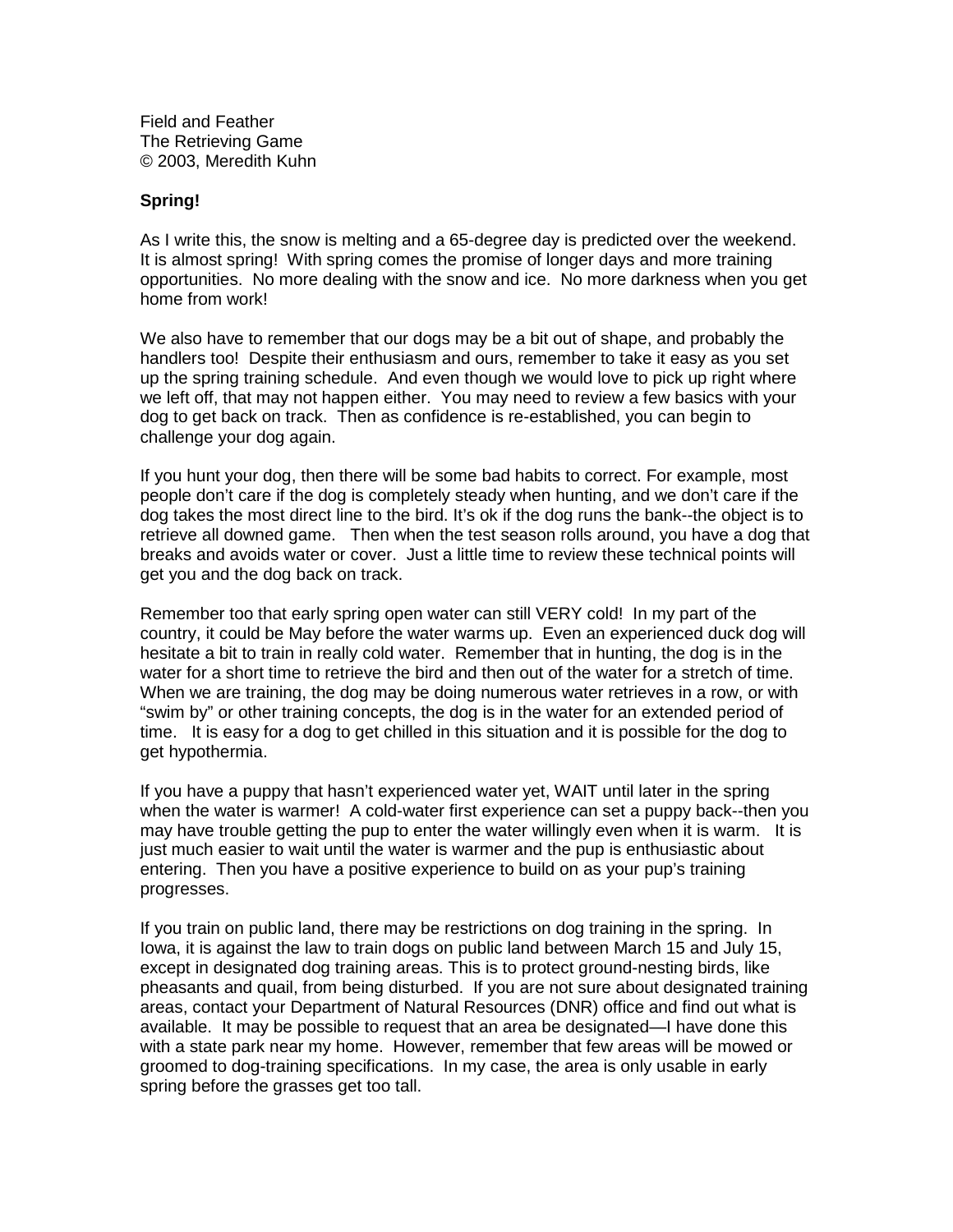**FieldandFeather The Retrieving Game** © 2003, Meredith Kuhn

## **Spring!**

As I write this, the snowism elting and a 65 -degreed a yis predicted over the weekend. Itis almost spring! With spring comes the promise of longer days and more training opportunities. Nomoredealing with the snow and ice. No more darkness when you get homefromwork!

We also have to remember that our dogs may be a bit out of shape, and probably the handlerstoo! Despite their enthusias mand ours, remember to take it easy as you set up the spring training schedule. And even though we would love to pick up right where we left off, that may not happen either. You may need to review a few basics with your dog toget back on track. The nasconfidence is re- $-$ established, you can begin nto challenge your dog again.

If you hunt your dog, then there will be some bad habits to correct. For example, most peopledon't care if the dog is completely steady when hunting, and we don't care if the dog takes the most direct line to the bird. It's continued optimal the bank --the objectisto retrievealldowned game. Then when the test season rolls around, you have adog that breaks and avoids water or cover. Just a little time to review these technical points will get you and the dog back ont rack.

Remembertoothatearly spring open water can still VERY cold! In my part of the country, it could be May before the water warms up. Even an experienced duck dog will hesitate a bit to train in really coldwater. Remember that in hunting, the dog is in the waterfora short time to retrieve the bird and the nout of the water for a stretch of time. When we are training, the dogmay bedoing numerous wate rretrieves in a row, or with "swimby" or other training concepts, the dog is in the water for an extended period of time. It is easy for a dog to get chilled in this situation and it is possible for the dog to gethypothermia.

If you have a puppy that hasn't experienced water yet, WAIT until later in the spring when the water is warmer! A col d-water first experience can set a puppy back --then you may have trouble getting the pup to enter the water willingly even when it is warm. It is just much easier to wait until the water is warmer and the pup is enthusiastic about entering. Then you hav eapositive experience to build on as your pup's training progresses.

If you train on public land, the remay be restrictions on dog training in the spring. In Iowa, it is against the law to train dogs on public land between March 15 and July 15, except indesignated dog training areas. This is to protect ground -nesting birds, like pheasants and quail, from being disturbed. If you are not sure about designated training areas, contactyour Department of Natural Resources (DNR) of fice and find out what is available. It may be possible to request that an area be designated  $-$ I have done this with a state park nearmy home. However, remember that few areas will be mowed or groomed to dog -training specifications. In my case, the area is only usable in early spring before the grasses get too tall.